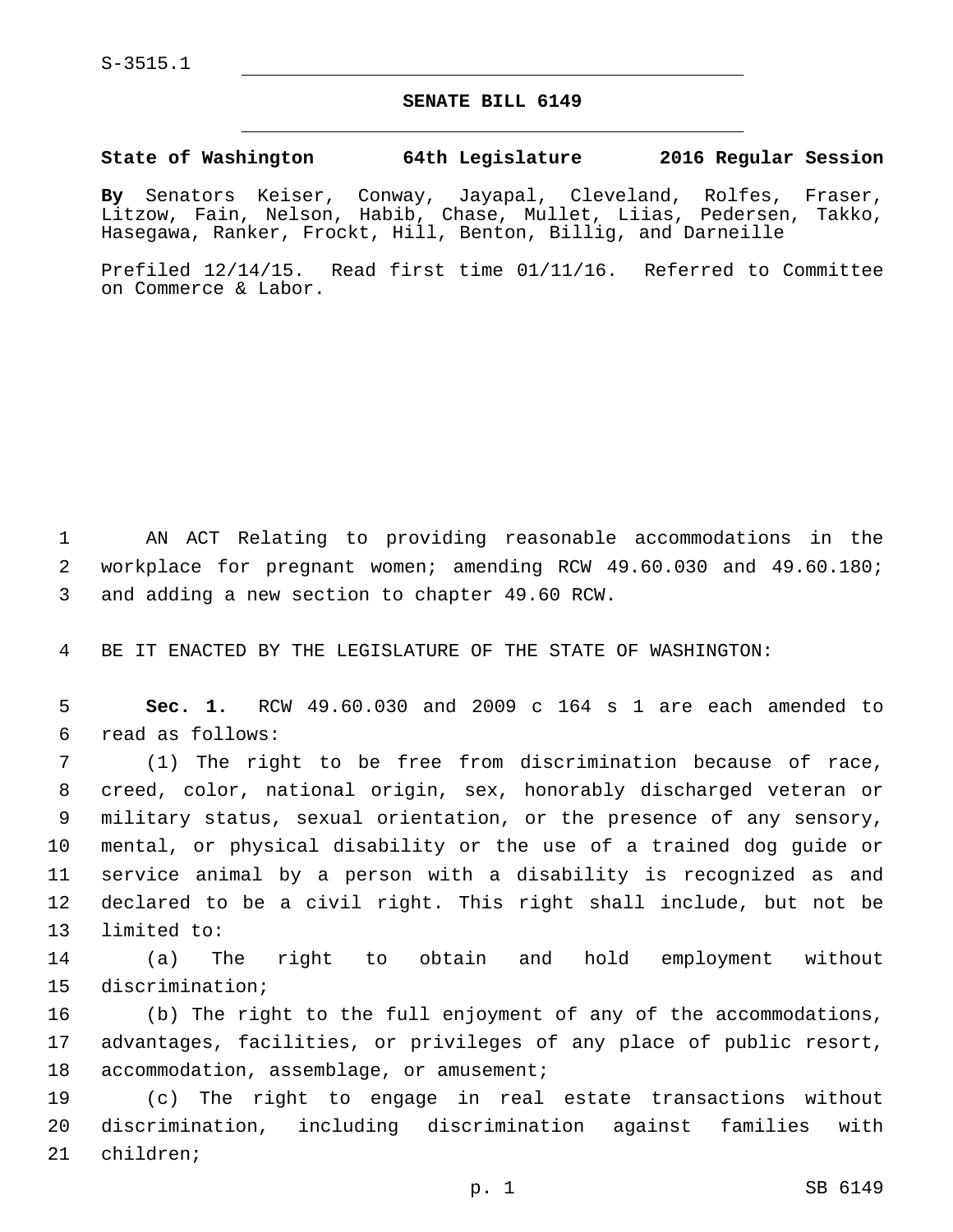## **SENATE BILL 6149**

## **State of Washington 64th Legislature 2016 Regular Session**

**By** Senators Keiser, Conway, Jayapal, Cleveland, Rolfes, Fraser, Litzow, Fain, Nelson, Habib, Chase, Mullet, Liias, Pedersen, Takko, Hasegawa, Ranker, Frockt, Hill, Benton, Billig, and Darneille

Prefiled 12/14/15. Read first time 01/11/16. Referred to Committee on Commerce & Labor.

1 AN ACT Relating to providing reasonable accommodations in the 2 workplace for pregnant women; amending RCW 49.60.030 and 49.60.180; 3 and adding a new section to chapter 49.60 RCW.

4 BE IT ENACTED BY THE LEGISLATURE OF THE STATE OF WASHINGTON:

5 **Sec. 1.** RCW 49.60.030 and 2009 c 164 s 1 are each amended to read as follows:6

 (1) The right to be free from discrimination because of race, creed, color, national origin, sex, honorably discharged veteran or military status, sexual orientation, or the presence of any sensory, mental, or physical disability or the use of a trained dog guide or service animal by a person with a disability is recognized as and declared to be a civil right. This right shall include, but not be 13 limited to:

14 (a) The right to obtain and hold employment without 15 discrimination;

16 (b) The right to the full enjoyment of any of the accommodations, 17 advantages, facilities, or privileges of any place of public resort, 18 accommodation, assemblage, or amusement;

19 (c) The right to engage in real estate transactions without 20 discrimination, including discrimination against families with 21 children;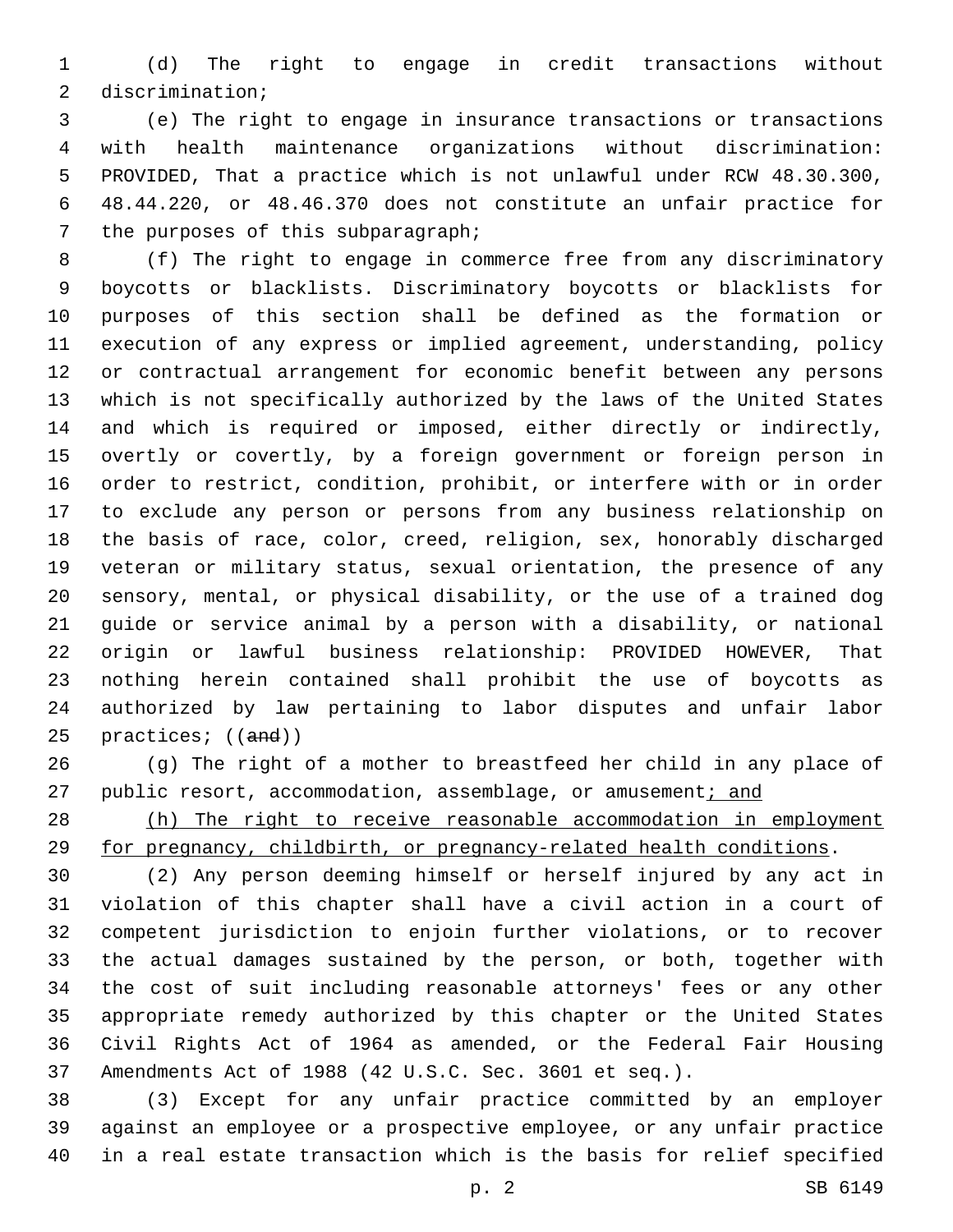(d) The right to engage in credit transactions without 2 discrimination;

 (e) The right to engage in insurance transactions or transactions with health maintenance organizations without discrimination: PROVIDED, That a practice which is not unlawful under RCW 48.30.300, 48.44.220, or 48.46.370 does not constitute an unfair practice for 7 the purposes of this subparagraph;

 (f) The right to engage in commerce free from any discriminatory boycotts or blacklists. Discriminatory boycotts or blacklists for purposes of this section shall be defined as the formation or execution of any express or implied agreement, understanding, policy or contractual arrangement for economic benefit between any persons which is not specifically authorized by the laws of the United States and which is required or imposed, either directly or indirectly, overtly or covertly, by a foreign government or foreign person in order to restrict, condition, prohibit, or interfere with or in order to exclude any person or persons from any business relationship on the basis of race, color, creed, religion, sex, honorably discharged veteran or military status, sexual orientation, the presence of any sensory, mental, or physical disability, or the use of a trained dog guide or service animal by a person with a disability, or national origin or lawful business relationship: PROVIDED HOWEVER, That nothing herein contained shall prohibit the use of boycotts as authorized by law pertaining to labor disputes and unfair labor 25 practices; ((and))

 (g) The right of a mother to breastfeed her child in any place of 27 public resort, accommodation, assemblage, or amusement; and

 (h) The right to receive reasonable accommodation in employment for pregnancy, childbirth, or pregnancy-related health conditions.

 (2) Any person deeming himself or herself injured by any act in violation of this chapter shall have a civil action in a court of competent jurisdiction to enjoin further violations, or to recover the actual damages sustained by the person, or both, together with the cost of suit including reasonable attorneys' fees or any other appropriate remedy authorized by this chapter or the United States Civil Rights Act of 1964 as amended, or the Federal Fair Housing Amendments Act of 1988 (42 U.S.C. Sec. 3601 et seq.).

 (3) Except for any unfair practice committed by an employer against an employee or a prospective employee, or any unfair practice in a real estate transaction which is the basis for relief specified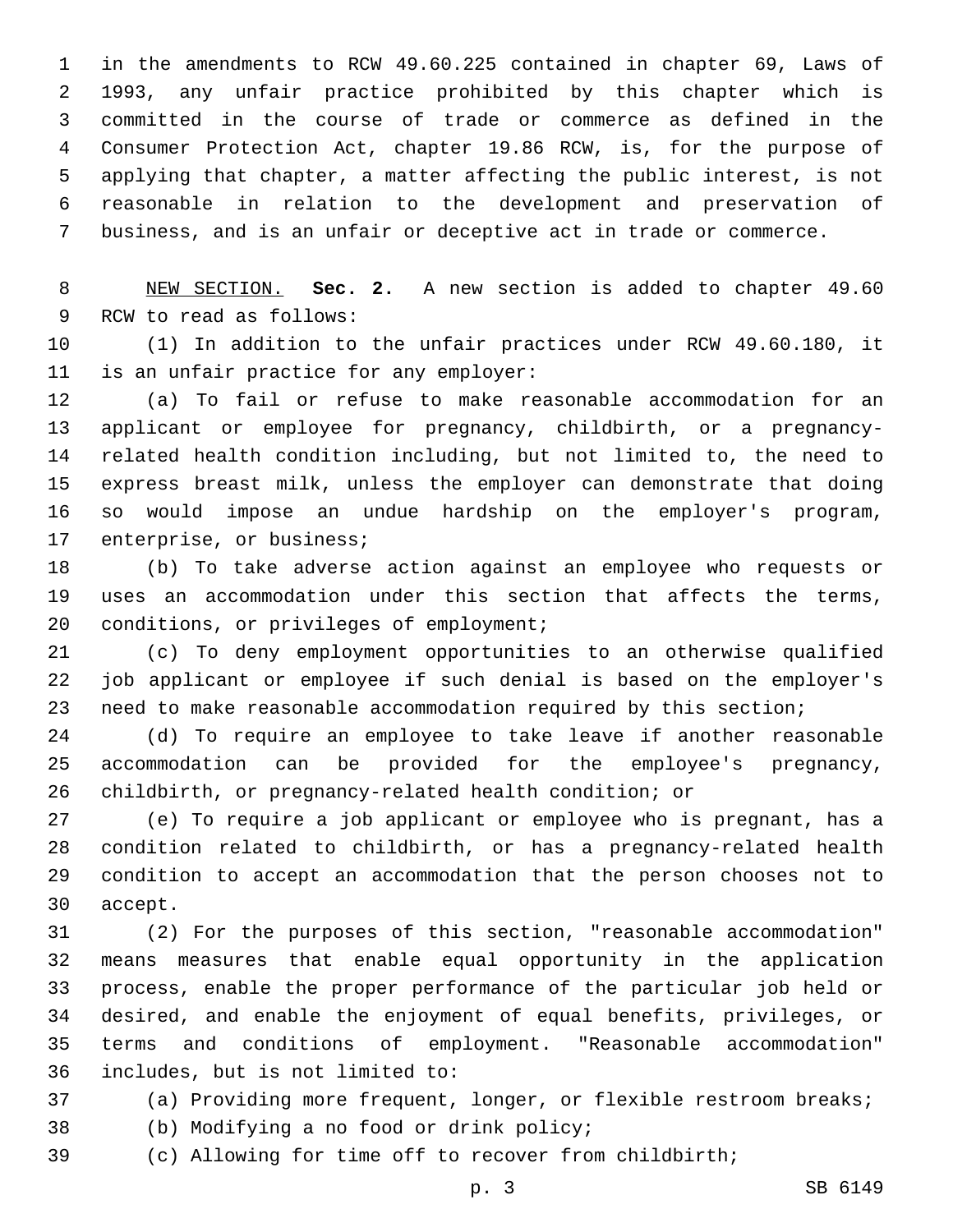in the amendments to RCW 49.60.225 contained in chapter 69, Laws of 1993, any unfair practice prohibited by this chapter which is committed in the course of trade or commerce as defined in the Consumer Protection Act, chapter 19.86 RCW, is, for the purpose of applying that chapter, a matter affecting the public interest, is not reasonable in relation to the development and preservation of business, and is an unfair or deceptive act in trade or commerce.

 NEW SECTION. **Sec. 2.** A new section is added to chapter 49.60 9 RCW to read as follows:

 (1) In addition to the unfair practices under RCW 49.60.180, it 11 is an unfair practice for any employer:

 (a) To fail or refuse to make reasonable accommodation for an applicant or employee for pregnancy, childbirth, or a pregnancy- related health condition including, but not limited to, the need to express breast milk, unless the employer can demonstrate that doing so would impose an undue hardship on the employer's program, 17 enterprise, or business;

 (b) To take adverse action against an employee who requests or uses an accommodation under this section that affects the terms, 20 conditions, or privileges of employment;

 (c) To deny employment opportunities to an otherwise qualified job applicant or employee if such denial is based on the employer's need to make reasonable accommodation required by this section;

 (d) To require an employee to take leave if another reasonable accommodation can be provided for the employee's pregnancy, childbirth, or pregnancy-related health condition; or

 (e) To require a job applicant or employee who is pregnant, has a condition related to childbirth, or has a pregnancy-related health condition to accept an accommodation that the person chooses not to 30 accept.

 (2) For the purposes of this section, "reasonable accommodation" means measures that enable equal opportunity in the application process, enable the proper performance of the particular job held or desired, and enable the enjoyment of equal benefits, privileges, or terms and conditions of employment. "Reasonable accommodation" includes, but is not limited to:36

- (a) Providing more frequent, longer, or flexible restroom breaks;
- 38 (b) Modifying a no food or drink policy;
- (c) Allowing for time off to recover from childbirth;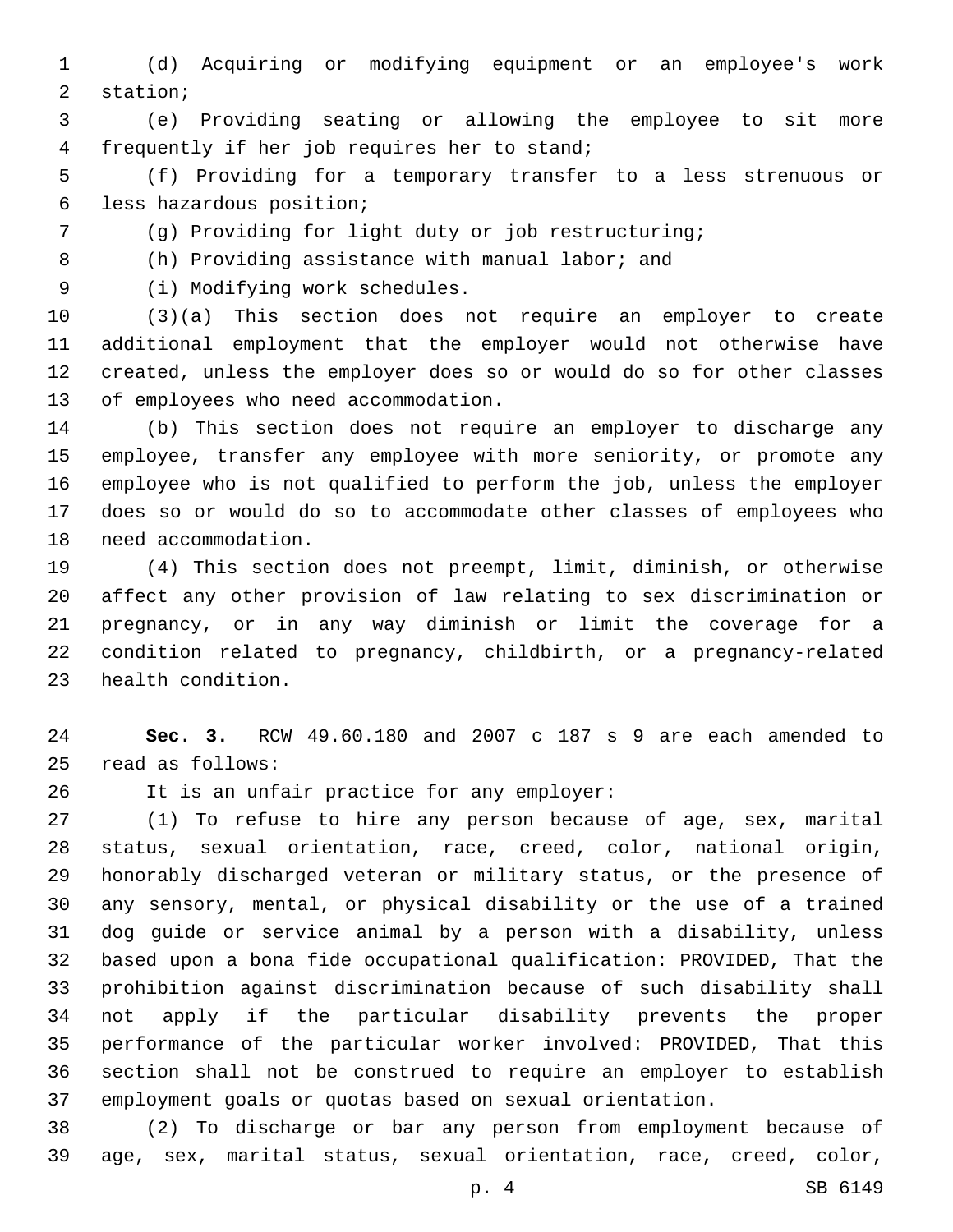(d) Acquiring or modifying equipment or an employee's work 2 station;

 (e) Providing seating or allowing the employee to sit more 4 frequently if her job requires her to stand;

 (f) Providing for a temporary transfer to a less strenuous or 6 less hazardous position;

(g) Providing for light duty or job restructuring;

(h) Providing assistance with manual labor; and

9 (i) Modifying work schedules.

 (3)(a) This section does not require an employer to create additional employment that the employer would not otherwise have created, unless the employer does so or would do so for other classes 13 of employees who need accommodation.

 (b) This section does not require an employer to discharge any employee, transfer any employee with more seniority, or promote any employee who is not qualified to perform the job, unless the employer does so or would do so to accommodate other classes of employees who 18 need accommodation.

 (4) This section does not preempt, limit, diminish, or otherwise affect any other provision of law relating to sex discrimination or pregnancy, or in any way diminish or limit the coverage for a condition related to pregnancy, childbirth, or a pregnancy-related 23 health condition.

 **Sec. 3.** RCW 49.60.180 and 2007 c 187 s 9 are each amended to read as follows:25

26 It is an unfair practice for any employer:

 (1) To refuse to hire any person because of age, sex, marital status, sexual orientation, race, creed, color, national origin, honorably discharged veteran or military status, or the presence of any sensory, mental, or physical disability or the use of a trained dog guide or service animal by a person with a disability, unless based upon a bona fide occupational qualification: PROVIDED, That the prohibition against discrimination because of such disability shall not apply if the particular disability prevents the proper performance of the particular worker involved: PROVIDED, That this section shall not be construed to require an employer to establish employment goals or quotas based on sexual orientation.

 (2) To discharge or bar any person from employment because of age, sex, marital status, sexual orientation, race, creed, color,